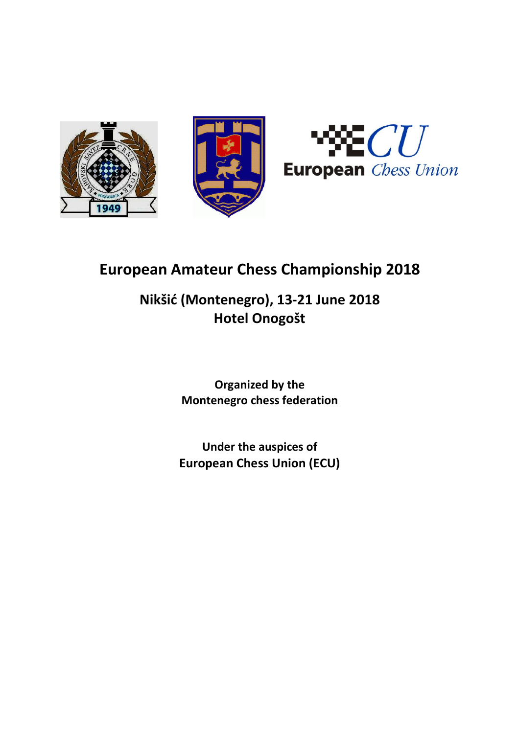



# European Amateur Chess Championship 2018

## Nikšić (Montenegro), 13-21 June 2018 Hotel Onogošt

Organized by the Montenegro chess federation

Under the auspices of European Chess Union (ECU)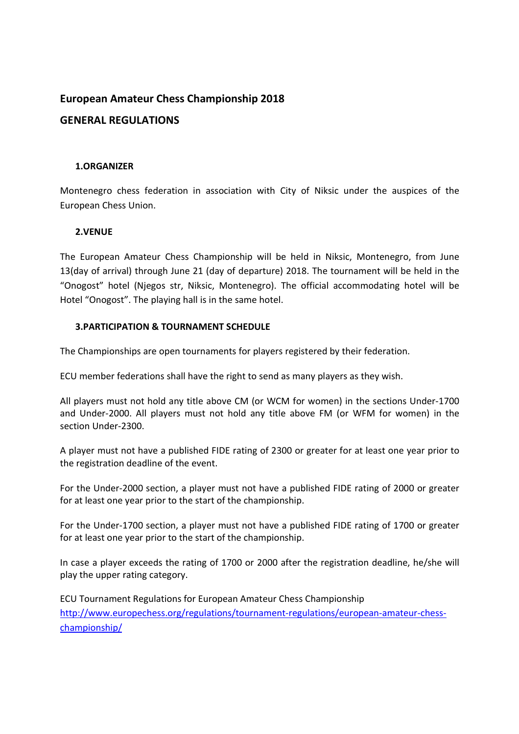## European Amateur Chess Championship 2018

## GENERAL REGULATIONS

#### 1.ORGANIZER

Montenegro chess federation in association with City of Niksic under the auspices of the European Chess Union.

#### 2.VENUE

The European Amateur Chess Championship will be held in Niksic, Montenegro, from June 13(day of arrival) through June 21 (day of departure) 2018. The tournament will be held in the "Onogost" hotel (Njegos str, Niksic, Montenegro). The official accommodating hotel will be Hotel "Onogost". The playing hall is in the same hotel.

#### 3.PARTICIPATION & TOURNAMENT SCHEDULE

The Championships are open tournaments for players registered by their federation.

ECU member federations shall have the right to send as many players as they wish.

All players must not hold any title above CM (or WCM for women) in the sections Under-1700 and Under-2000. All players must not hold any title above FM (or WFM for women) in the section Under-2300.

A player must not have a published FIDE rating of 2300 or greater for at least one year prior to the registration deadline of the event.

For the Under-2000 section, a player must not have a published FIDE rating of 2000 or greater for at least one year prior to the start of the championship.

For the Under-1700 section, a player must not have a published FIDE rating of 1700 or greater for at least one year prior to the start of the championship.

In case a player exceeds the rating of 1700 or 2000 after the registration deadline, he/she will play the upper rating category.

ECU Tournament Regulations for European Amateur Chess Championship http://www.europechess.org/regulations/tournament-regulations/european-amateur-chesschampionship/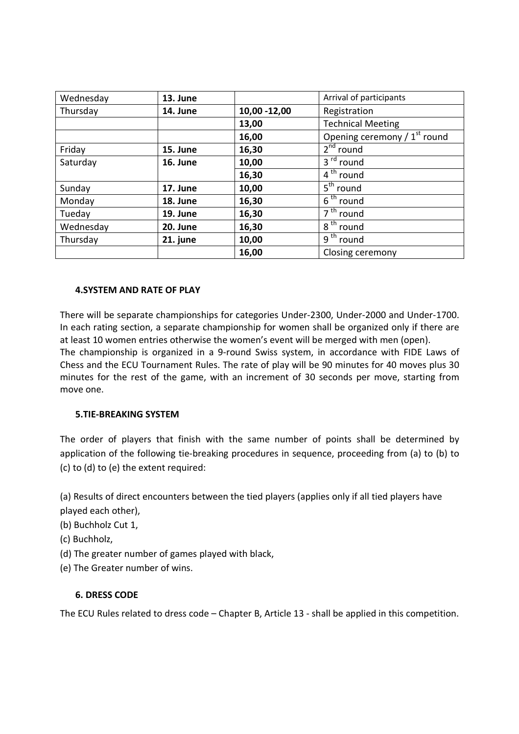| 13. June |               | Arrival of participants                  |
|----------|---------------|------------------------------------------|
| 14. June | 10,00 - 12,00 | Registration                             |
|          | 13,00         | <b>Technical Meeting</b>                 |
|          | 16,00         | Opening ceremony / 1 <sup>st</sup> round |
| 15. June | 16,30         | $2^{nd}$ round                           |
| 16. June | 10,00         | 3 <sup>rd</sup> round                    |
|          | 16,30         | $\overline{4^{th}}$ round                |
| 17. June | 10,00         | $5th$ round                              |
| 18. June | 16,30         | 6 <sup>th</sup> round                    |
| 19. June | 16,30         | $\overline{7}$ <sup>th</sup> round       |
| 20. June | 16,30         | $8th$ round                              |
| 21. june | 10,00         | $\overline{9}$ <sup>th</sup> round       |
|          | 16,00         | Closing ceremony                         |
|          |               |                                          |

#### 4.SYSTEM AND RATE OF PLAY

There will be separate championships for categories Under-2300, Under-2000 and Under-1700. In each rating section, a separate championship for women shall be organized only if there are at least 10 women entries otherwise the women's event will be merged with men (open). The championship is organized in a 9-round Swiss system, in accordance with FIDE Laws of Chess and the ECU Tournament Rules. The rate of play will be 90 minutes for 40 moves plus 30 minutes for the rest of the game, with an increment of 30 seconds per move, starting from move one.

#### 5.TIE-BREAKING SYSTEM

The order of players that finish with the same number of points shall be determined by application of the following tie-breaking procedures in sequence, proceeding from (a) to (b) to (c) to (d) to (e) the extent required:

(a) Results of direct encounters between the tied players (applies only if all tied players have played each other),

(b) Buchholz Cut 1,

(c) Buchholz,

- (d) The greater number of games played with black,
- (e) The Greater number of wins.

#### 6. DRESS CODE

The ECU Rules related to dress code – Chapter B, Article 13 - shall be applied in this competition.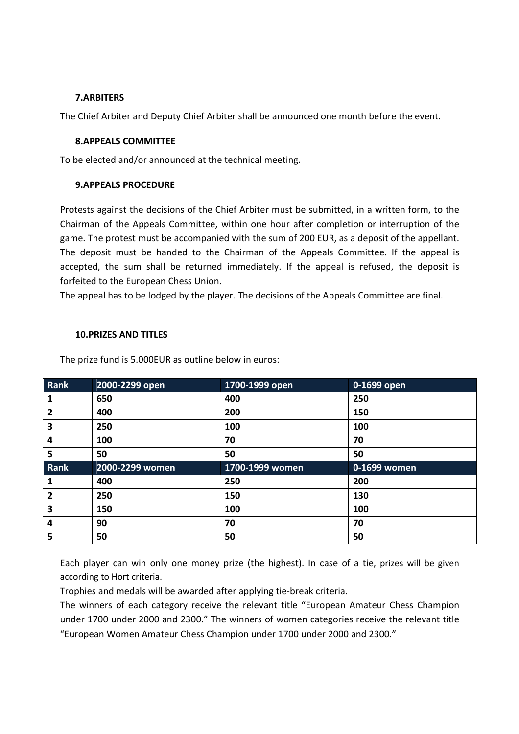#### 7.ARBITERS

The Chief Arbiter and Deputy Chief Arbiter shall be announced one month before the event.

#### 8.APPEALS COMMITTEE

To be elected and/or announced at the technical meeting.

#### 9.APPEALS PROCEDURE

Protests against the decisions of the Chief Arbiter must be submitted, in a written form, to the Chairman of the Appeals Committee, within one hour after completion or interruption of the game. The protest must be accompanied with the sum of 200 EUR, as a deposit of the appellant. The deposit must be handed to the Chairman of the Appeals Committee. If the appeal is accepted, the sum shall be returned immediately. If the appeal is refused, the deposit is forfeited to the European Chess Union.

The appeal has to be lodged by the player. The decisions of the Appeals Committee are final.

#### 10.PRIZES AND TITLES

The prize fund is 5.000EUR as outline below in euros:

| Rank | 2000-2299 open  | 1700-1999 open  | 0-1699 open  |
|------|-----------------|-----------------|--------------|
|      | 650             | 400             | 250          |
| 2    | 400             | 200             | 150          |
| 3    | 250             | 100             | 100          |
| 4    | 100             | 70              | 70           |
| 5    | 50              | 50              | 50           |
|      |                 |                 |              |
| Rank | 2000-2299 women | 1700-1999 women | 0-1699 women |
| 1    | 400             | 250             | 200          |
| 2    | 250             | 150             | 130          |
| 3    | 150             | 100             | 100          |
| 4    | 90              | 70              | 70           |

Each player can win only one money prize (the highest). In case of a tie, prizes will be given according to Hort criteria.

Trophies and medals will be awarded after applying tie-break criteria.

The winners of each category receive the relevant title "European Amateur Chess Champion under 1700 under 2000 and 2300." The winners of women categories receive the relevant title "European Women Amateur Chess Champion under 1700 under 2000 and 2300."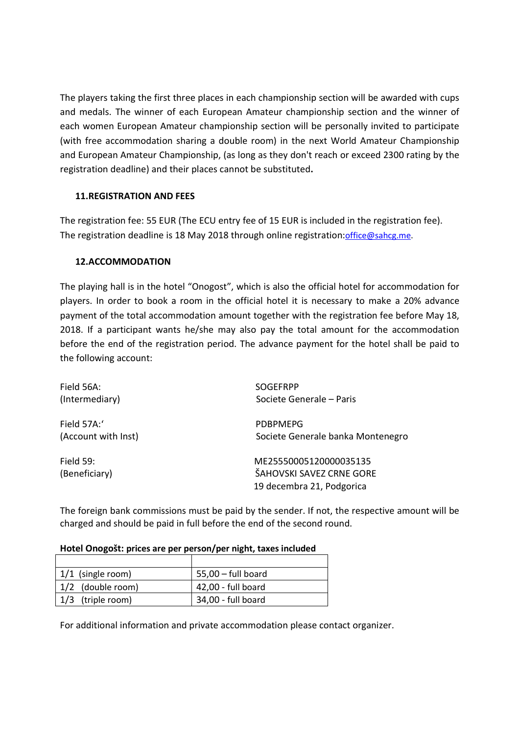The players taking the first three places in each championship section will be awarded with cups and medals. The winner of each European Amateur championship section and the winner of each women European Amateur championship section will be personally invited to participate (with free accommodation sharing a double room) in the next World Amateur Championship and European Amateur Championship, (as long as they don't reach or exceed 2300 rating by the registration deadline) and their places cannot be substituted.

## 11.REGISTRATION AND FEES

The registration fee: 55 EUR (The ECU entry fee of 15 EUR is included in the registration fee). The registration deadline is 18 May 2018 through online registration: office@sahcg.me.

## 12.ACCOMMODATION

The playing hall is in the hotel "Onogost", which is also the official hotel for accommodation for players. In order to book a room in the official hotel it is necessary to make a 20% advance payment of the total accommodation amount together with the registration fee before May 18, 2018. If a participant wants he/she may also pay the total amount for the accommodation before the end of the registration period. The advance payment for the hotel shall be paid to the following account:

| Field 56A:                   | <b>SOGEFRPP</b>                                                                 |
|------------------------------|---------------------------------------------------------------------------------|
| (Intermediary)               | Societe Generale – Paris                                                        |
| Field 57A:                   | <b>PDBPMEPG</b>                                                                 |
| (Account with Inst)          | Societe Generale banka Montenegro                                               |
| Field $59:$<br>(Beneficiary) | ME25550005120000035135<br>ŠAHOVSKI SAVEZ CRNE GORE<br>19 decembra 21, Podgorica |

The foreign bank commissions must be paid by the sender. If not, the respective amount will be charged and should be paid in full before the end of the second round.

#### Hotel Onogošt: prices are per person/per night, taxes included

| $1/1$ (single room) | $55,00$ – full board |
|---------------------|----------------------|
| 1/2 (double room)   | 42,00 - full board   |
| 1/3 (triple room)   | 34,00 - full board   |

For additional information and private accommodation please contact organizer.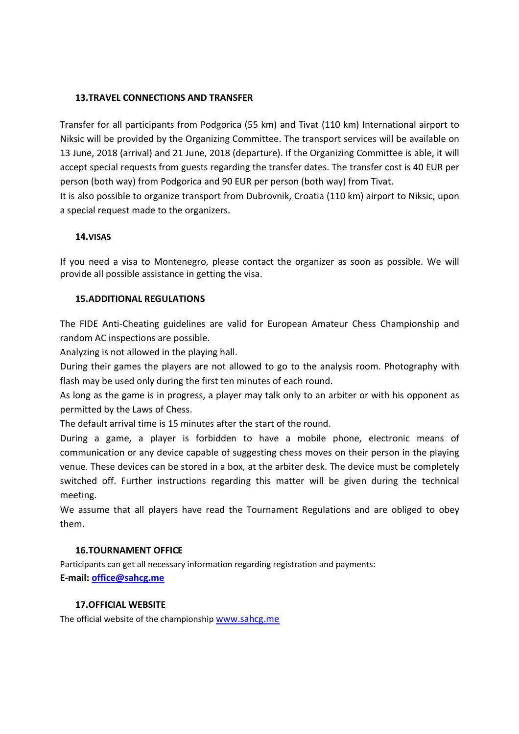#### 13.TRAVEL CONNECTIONS AND TRANSFER

Transfer for all participants from Podgorica (55 km) and Tivat (110 km) International airport to Niksic will be provided by the Organizing Committee. The transport services will be available on 13 June, 2018 (arrival) and 21 June, 2018 (departure). If the Organizing Committee is able, it will accept special requests from guests regarding the transfer dates. The transfer cost is 40 EUR per person (both way) from Podgorica and 90 EUR per person (both way) from Tivat. It is also possible to organize transport from Dubrovnik, Croatia (110 km) airport to Niksic, upon

a special request made to the organizers.

#### 14.VISAS

If you need a visa to Montenegro, please contact the organizer as soon as possible. We will provide all possible assistance in getting the visa.

#### 15.ADDITIONAL REGULATIONS

The FIDE Anti-Cheating guidelines are valid for European Amateur Chess Championship and random AC inspections are possible.

Analyzing is not allowed in the playing hall.

During their games the players are not allowed to go to the analysis room. Photography with flash may be used only during the first ten minutes of each round.

As long as the game is in progress, a player may talk only to an arbiter or with his opponent as permitted by the Laws of Chess.

The default arrival time is 15 minutes after the start of the round.

During a game, a player is forbidden to have a mobile phone, electronic means of communication or any device capable of suggesting chess moves on their person in the playing venue. These devices can be stored in a box, at the arbiter desk. The device must be completely switched off. Further instructions regarding this matter will be given during the technical meeting.

We assume that all players have read the Tournament Regulations and are obliged to obey them.

#### 16.TOURNAMENT OFFICE

Participants can get all necessary information regarding registration and payments: E-mail: office@sahcg.me

#### 17.OFFICIAL WEBSITE

The official website of the championship www.sahcg.me